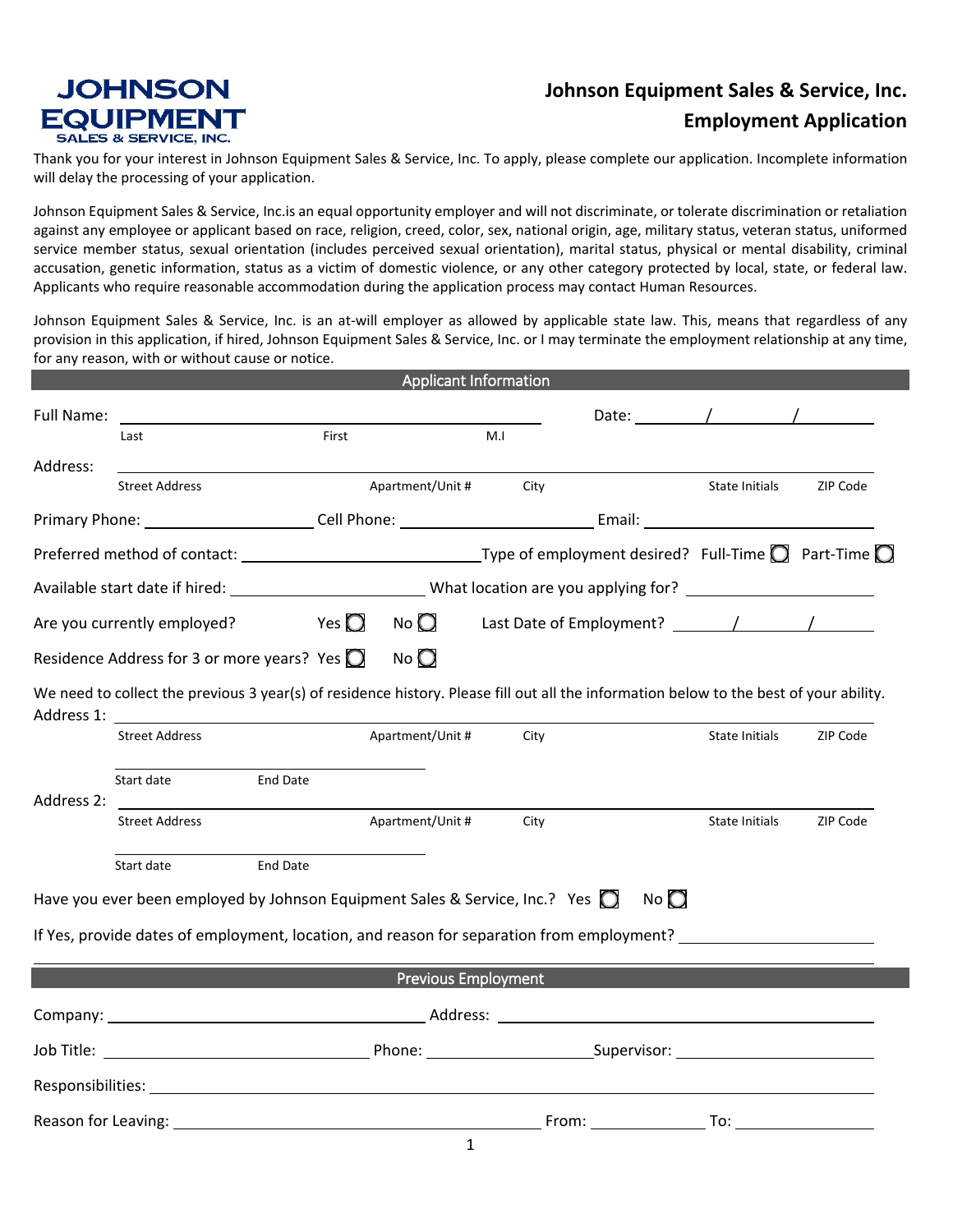## **JOHNSON EQUIPMENT SALES & SERVICE, INC.**

## **Johnson Equipment Sales & Service, Inc. Employment Application**

Thank you for your interest in Johnson Equipment Sales & Service, Inc. To apply, please complete our application. Incomplete information will delay the processing of your application.

Johnson Equipment Sales & Service, Inc.is an equal opportunity employer and will not discriminate, or tolerate discrimination or retaliation against any employee or applicant based on race, religion, creed, color, sex, national origin, age, military status, veteran status, uniformed service member status, sexual orientation (includes perceived sexual orientation), marital status, physical or mental disability, criminal accusation, genetic information, status as a victim of domestic violence, or any other category protected by local, state, or federal law. Applicants who require reasonable accommodation during the application process may contact Human Resources.

Johnson Equipment Sales & Service, Inc. is an at-will employer as allowed by applicable state law. This, means that regardless of any provision in this application, if hired, Johnson Equipment Sales & Service, Inc. or I may terminate the employment relationship at any time, for any reason, with or without cause or notice.

|                             |                                                                                                                                                                                                                                |                 |                |                  | <b>Applicant Information</b> |                  |                                         |          |
|-----------------------------|--------------------------------------------------------------------------------------------------------------------------------------------------------------------------------------------------------------------------------|-----------------|----------------|------------------|------------------------------|------------------|-----------------------------------------|----------|
| Full Name:                  |                                                                                                                                                                                                                                |                 |                |                  |                              |                  | Date: $\qquad \qquad / \qquad \qquad /$ |          |
|                             | Last                                                                                                                                                                                                                           |                 | First          |                  | M.I                          |                  |                                         |          |
| Address:                    | <b>Street Address</b>                                                                                                                                                                                                          |                 |                | Apartment/Unit # | City                         |                  | State Initials                          | ZIP Code |
|                             |                                                                                                                                                                                                                                |                 |                |                  |                              |                  |                                         |          |
|                             | Preferred method of contact: $\sqrt{2}$ Part-Time $\Box$ Type of employment desired? Full-Time $\Box$ Part-Time $\Box$                                                                                                         |                 |                |                  |                              |                  |                                         |          |
|                             |                                                                                                                                                                                                                                |                 |                |                  |                              |                  |                                         |          |
| Are you currently employed? |                                                                                                                                                                                                                                |                 | Yes $\bigcirc$ | $No$ $O$         |                              |                  |                                         |          |
|                             | Residence Address for 3 or more years? Yes $\bigcirc$                                                                                                                                                                          |                 |                | $N$ o            |                              |                  |                                         |          |
| Address 1:                  | We need to collect the previous 3 year(s) of residence history. Please fill out all the information below to the best of your ability.                                                                                         |                 |                |                  |                              |                  |                                         |          |
|                             | <b>Street Address</b>                                                                                                                                                                                                          |                 |                | Apartment/Unit # | City                         |                  | State Initials                          | ZIP Code |
| Address 2:                  | Start date                                                                                                                                                                                                                     | <b>End Date</b> |                |                  |                              |                  |                                         |          |
|                             | <b>Street Address</b>                                                                                                                                                                                                          |                 |                | Apartment/Unit # | City                         |                  | <b>State Initials</b>                   | ZIP Code |
|                             | Start date                                                                                                                                                                                                                     | <b>End Date</b> |                |                  |                              |                  |                                         |          |
|                             | Have you ever been employed by Johnson Equipment Sales & Service, Inc.? Yes $\bigcirc$                                                                                                                                         |                 |                |                  |                              | $N$ o $\bigcirc$ |                                         |          |
|                             | If Yes, provide dates of employment, location, and reason for separation from employment?                                                                                                                                      |                 |                |                  |                              |                  |                                         |          |
|                             |                                                                                                                                                                                                                                |                 |                |                  | <b>Previous Employment</b>   |                  |                                         |          |
|                             |                                                                                                                                                                                                                                |                 |                |                  |                              |                  |                                         |          |
|                             |                                                                                                                                                                                                                                |                 |                |                  |                              |                  |                                         |          |
|                             |                                                                                                                                                                                                                                |                 |                |                  |                              |                  |                                         |          |
|                             | Reason for Leaving: the contract of the contract of the contract of the contract of the contract of the contract of the contract of the contract of the contract of the contract of the contract of the contract of the contra |                 |                |                  |                              |                  |                                         |          |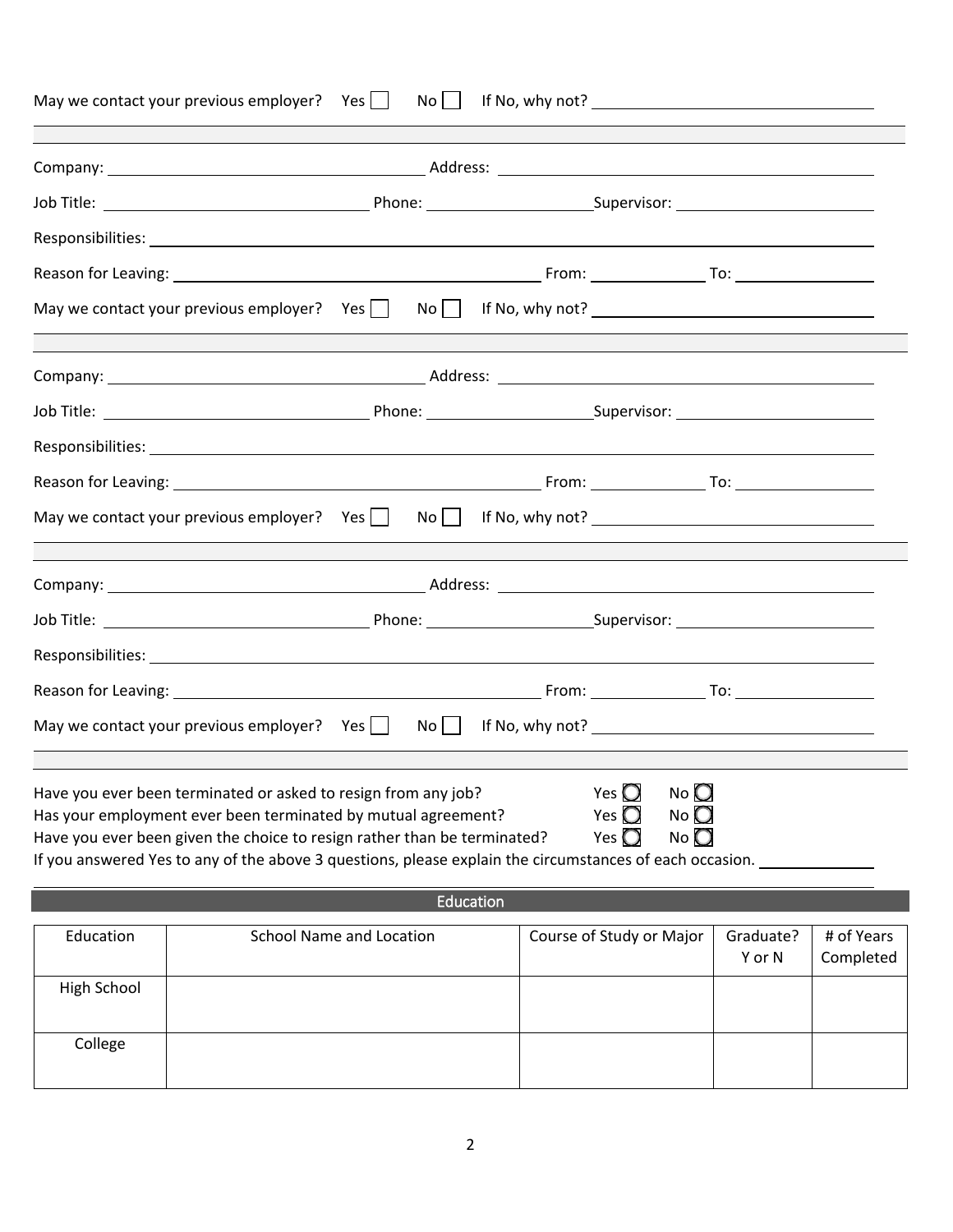|                                                                                                                                                               | May we contact your previous employer? $Yes \mid$ No $\mid$                                                                                                                                                                                                                                                            |  |  |  | If No, why not? The same state of the state of the state of the state of the state of the state of the state o |                     |                         |  |  |
|---------------------------------------------------------------------------------------------------------------------------------------------------------------|------------------------------------------------------------------------------------------------------------------------------------------------------------------------------------------------------------------------------------------------------------------------------------------------------------------------|--|--|--|----------------------------------------------------------------------------------------------------------------|---------------------|-------------------------|--|--|
|                                                                                                                                                               |                                                                                                                                                                                                                                                                                                                        |  |  |  |                                                                                                                |                     |                         |  |  |
|                                                                                                                                                               |                                                                                                                                                                                                                                                                                                                        |  |  |  |                                                                                                                |                     |                         |  |  |
|                                                                                                                                                               |                                                                                                                                                                                                                                                                                                                        |  |  |  |                                                                                                                |                     |                         |  |  |
|                                                                                                                                                               | Reason for Leaving: 1980 1991 10: 2010 10: 2010 10: 2010 10: 2010 10: 2010 10: 2010 10: 2010 10: 2010 10: 2010                                                                                                                                                                                                         |  |  |  |                                                                                                                |                     |                         |  |  |
|                                                                                                                                                               | May we contact your previous employer? Yes   No   If No, why not? __________________________________                                                                                                                                                                                                                   |  |  |  |                                                                                                                |                     |                         |  |  |
|                                                                                                                                                               |                                                                                                                                                                                                                                                                                                                        |  |  |  |                                                                                                                |                     |                         |  |  |
|                                                                                                                                                               |                                                                                                                                                                                                                                                                                                                        |  |  |  |                                                                                                                |                     |                         |  |  |
|                                                                                                                                                               |                                                                                                                                                                                                                                                                                                                        |  |  |  |                                                                                                                |                     |                         |  |  |
|                                                                                                                                                               |                                                                                                                                                                                                                                                                                                                        |  |  |  |                                                                                                                |                     |                         |  |  |
| May we contact your previous employer? Yes $\Box$ No $\Box$ If No, why not? $\Box$                                                                            |                                                                                                                                                                                                                                                                                                                        |  |  |  |                                                                                                                |                     |                         |  |  |
|                                                                                                                                                               |                                                                                                                                                                                                                                                                                                                        |  |  |  |                                                                                                                |                     |                         |  |  |
|                                                                                                                                                               |                                                                                                                                                                                                                                                                                                                        |  |  |  |                                                                                                                |                     |                         |  |  |
|                                                                                                                                                               |                                                                                                                                                                                                                                                                                                                        |  |  |  |                                                                                                                |                     |                         |  |  |
|                                                                                                                                                               |                                                                                                                                                                                                                                                                                                                        |  |  |  |                                                                                                                |                     |                         |  |  |
| May we contact your previous employer? Yes $\begin{array}{ c c c c c } \hline \end{array}$ No $\begin{array}{ c c c c c } \hline \end{array}$ If No, why not? |                                                                                                                                                                                                                                                                                                                        |  |  |  |                                                                                                                |                     |                         |  |  |
|                                                                                                                                                               | Have you ever been terminated or asked to resign from any job?<br>Has your employment ever been terminated by mutual agreement?<br>Have you ever been given the choice to resign rather than be terminated?<br>If you answered Yes to any of the above 3 questions, please explain the circumstances of each occasion. |  |  |  | Yes $\bigcirc$<br>$N$ o $\bigcirc$<br>Yes $\bigcirc$<br>No<br>Yes $\bigcirc$<br>$N$ o $\bigcirc$               |                     |                         |  |  |
| Education                                                                                                                                                     |                                                                                                                                                                                                                                                                                                                        |  |  |  |                                                                                                                |                     |                         |  |  |
| Education                                                                                                                                                     | <b>School Name and Location</b>                                                                                                                                                                                                                                                                                        |  |  |  | Course of Study or Major                                                                                       | Graduate?<br>Y or N | # of Years<br>Completed |  |  |
| High School                                                                                                                                                   |                                                                                                                                                                                                                                                                                                                        |  |  |  |                                                                                                                |                     |                         |  |  |
| College                                                                                                                                                       |                                                                                                                                                                                                                                                                                                                        |  |  |  |                                                                                                                |                     |                         |  |  |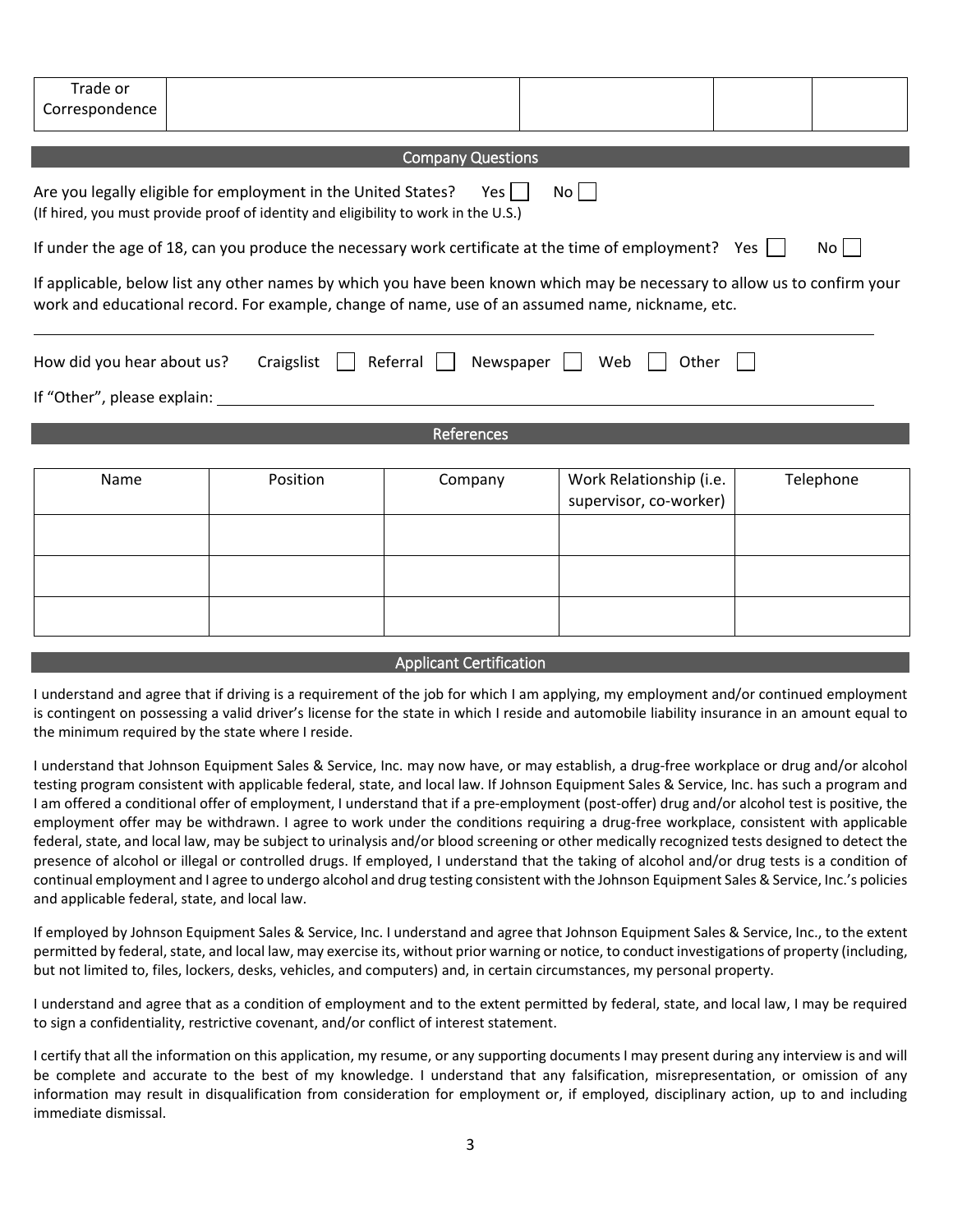| Trade or<br>Correspondence                                                                                  |                                                                                                                                                                                                                               |                                |                                                   |           |  |  |  |  |  |
|-------------------------------------------------------------------------------------------------------------|-------------------------------------------------------------------------------------------------------------------------------------------------------------------------------------------------------------------------------|--------------------------------|---------------------------------------------------|-----------|--|--|--|--|--|
|                                                                                                             |                                                                                                                                                                                                                               | <b>Company Questions</b>       |                                                   |           |  |  |  |  |  |
|                                                                                                             | Are you legally eligible for employment in the United States?<br>(If hired, you must provide proof of identity and eligibility to work in the U.S.)                                                                           | Yes $ $                        | No                                                |           |  |  |  |  |  |
| If under the age of 18, can you produce the necessary work certificate at the time of employment? Yes<br>No |                                                                                                                                                                                                                               |                                |                                                   |           |  |  |  |  |  |
|                                                                                                             | If applicable, below list any other names by which you have been known which may be necessary to allow us to confirm your<br>work and educational record. For example, change of name, use of an assumed name, nickname, etc. |                                |                                                   |           |  |  |  |  |  |
| How did you hear about us?<br>If "Other", please explain:                                                   | Craigslist                                                                                                                                                                                                                    | $Referral$    <br>Newspaper    | Web<br>Other                                      |           |  |  |  |  |  |
| References                                                                                                  |                                                                                                                                                                                                                               |                                |                                                   |           |  |  |  |  |  |
| Name                                                                                                        | Position                                                                                                                                                                                                                      | Company                        | Work Relationship (i.e.<br>supervisor, co-worker) | Telephone |  |  |  |  |  |
|                                                                                                             |                                                                                                                                                                                                                               |                                |                                                   |           |  |  |  |  |  |
|                                                                                                             |                                                                                                                                                                                                                               |                                |                                                   |           |  |  |  |  |  |
|                                                                                                             |                                                                                                                                                                                                                               |                                |                                                   |           |  |  |  |  |  |
|                                                                                                             |                                                                                                                                                                                                                               | <b>Applicant Certification</b> |                                                   |           |  |  |  |  |  |

I understand and agree that if driving is a requirement of the job for which I am applying, my employment and/or continued employment is contingent on possessing a valid driver's license for the state in which I reside and automobile liability insurance in an amount equal to the minimum required by the state where I reside.

I understand that Johnson Equipment Sales & Service, Inc. may now have, or may establish, a drug-free workplace or drug and/or alcohol testing program consistent with applicable federal, state, and local law. If Johnson Equipment Sales & Service, Inc. has such a program and I am offered a conditional offer of employment, I understand that if a pre-employment (post-offer) drug and/or alcohol test is positive, the employment offer may be withdrawn. I agree to work under the conditions requiring a drug-free workplace, consistent with applicable federal, state, and local law, may be subject to urinalysis and/or blood screening or other medically recognized tests designed to detect the presence of alcohol or illegal or controlled drugs. If employed, I understand that the taking of alcohol and/or drug tests is a condition of continual employment and I agree to undergo alcohol and drug testing consistent with the Johnson Equipment Sales & Service, Inc.'s policies and applicable federal, state, and local law.

If employed by Johnson Equipment Sales & Service, Inc. I understand and agree that Johnson Equipment Sales & Service, Inc., to the extent permitted by federal, state, and local law, may exercise its, without prior warning or notice, to conduct investigations of property (including, but not limited to, files, lockers, desks, vehicles, and computers) and, in certain circumstances, my personal property.

I understand and agree that as a condition of employment and to the extent permitted by federal, state, and local law, I may be required to sign a confidentiality, restrictive covenant, and/or conflict of interest statement.

I certify that all the information on this application, my resume, or any supporting documents I may present during any interview is and will be complete and accurate to the best of my knowledge. I understand that any falsification, misrepresentation, or omission of any information may result in disqualification from consideration for employment or, if employed, disciplinary action, up to and including immediate dismissal.